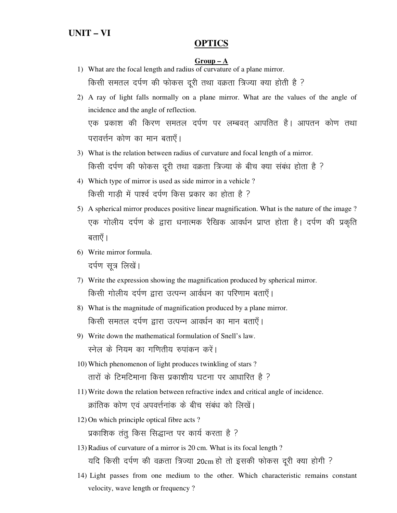## **OPTICS**

#### $Group-A$

- 1) What are the focal length and radius of curvature of a plane mirror. किसी समतल दर्पण की फोकस दूरी तथा वक्रता त्रिज्या क्या होती है ?
- 2) A ray of light falls normally on a plane mirror. What are the values of the angle of incidence and the angle of reflection. एक प्रकाश की किरण समतल दर्पण पर लम्बवत् आपतित है। आपतन कोण तथा परावर्त्तन कोण का मान बताएँ।
- 3) What is the relation between radius of curvature and focal length of a mirror. किसी दर्पण की फोकस दूरी तथा वक्रता त्रिज्या के बीच क्या संबंध होता है ?
- 4) Which type of mirror is used as side mirror in a vehicle ? किसी गाड़ी में पार्श्व दर्पण किस प्रकार का होता है ?
- 5) A spherical mirror produces positive linear magnification. What is the nature of the image ? एक गोलीय दर्पण के द्वारा धनात्मक रैखिक आवर्धन प्राप्त होता है। दर्पण की प्रकृति बताएँ ।
- 6) Write mirror formula. दर्पण सूत्र लिखें।
- 7) Write the expression showing the magnification produced by spherical mirror. किसी गोलीय दर्पण द्वारा उत्पन्न आर्वधन का परिणाम बताएँ।
- 8) What is the magnitude of magnification produced by a plane mirror. किसी समतल दर्पण द्वारा उत्पन्न आवर्धन का मान बताएँ।
- 9) Write down the mathematical formulation of Snell's law. स्नेल के नियम का गणितीय रुपांकन करें।
- 10) Which phenomenon of light produces twinkling of stars ? तारों के टिमटिमाना किस प्रकाशीय घटना पर आधारित है ?
- 11) Write down the relation between refractive index and critical angle of incidence. क्रांतिक कोण एवं अपवर्त्तनांक के बीच संबंध को लिखें।
- 12) On which principle optical fibre acts ? प्रकाशिक तंतु किस सिद्धान्त पर कार्य करता है ?
- 13) Radius of curvature of a mirror is 20 cm. What is its focal length ? यदि किसी दर्पण की वक्रता त्रिज्या 20cm हो तो इसकी फोकस दूरी क्या होगी ?
- 14) Light passes from one medium to the other. Which characteristic remains constant velocity, wave length or frequency ?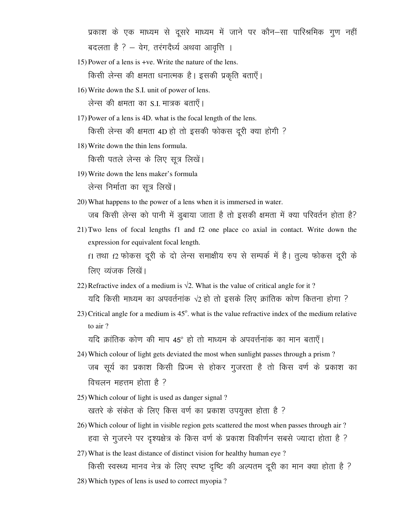प्रकाश के एक माध्यम से दूसरे माध्यम में जाने पर कौन—सा पारिश्रमिक गूण नहीं बदलता है ? – वेग, तरंगदैर्ध्य अथवा आवृत्ति ।

- 15) Power of a lens is +ve. Write the nature of the lens. किसी लेन्स की क्षमता धनात्मक है। इसकी प्रकृति बताएँ।
- 16) Write down the S.I. unit of power of lens.

लेन्स की क्षमता का S.I. मात्रक बताएँ।

- 17) Power of a lens is 4D. what is the focal length of the lens. किसी लेन्स की क्षमता 4D हो तो इसकी फोकस दूरी क्या होगी ?
- 18) Write down the thin lens formula.

किसी पतले लेन्स के लिए सूत्र लिखें।

- 19) Write down the lens maker's formula लेन्स निर्माता का सत्र लिखें।
- 20) What happens to the power of a lens when it is immersed in water. जब किसी लेन्स को पानी में डूबाया जाता है तो इसकी क्षमता में क्या परिवर्तन होता है?
- 21) Two lens of focal lengths f1 and f2 one place co axial in contact. Write down the expression for equivalent focal length. f1 तथा f2 फोकस दूरी के दो लेन्स समाक्षीय रुप से सम्पर्क में है। तुल्य फोकस दूरी के लिए व्यंजक लिखें।
- 22) Refractive index of a medium is  $\sqrt{2}$ . What is the value of critical angle for it? यदि किसी माध्यम का अपवर्तनांक √2 हो तो इसके लिए क्रांतिक कोण कितना होगा ?
- 23) Critical angle for a medium is  $45^\circ$ . what is the value refractive index of the medium relative to air ?

यदि क्रांतिक कोण की माप 45° हो तो माध्यम के अपवर्त्तनांक का मान बताएँ।

- 24) Which colour of light gets deviated the most when sunlight passes through a prism ? जब सूर्य का प्रकाश किसी प्रिज्म से होकर गुजरता है तो किस वर्ण के प्रकाश का विचलन महत्तम होता है  $\overline{?}$
- 25) Which colour of light is used as danger signal ? खतरे के संकेत के लिए किस वर्ण का प्रकाश उपयुक्त होता है ?
- 26) Which colour of light in visible region gets scattered the most when passes through air ? हवा से गुजरने पर दृश्यक्षेत्र के किस वर्ण के प्रकाश विकीर्णन सबसे ज्यादा होता है ?
- 27) What is the least distance of distinct vision for healthy human eye ?

किसी स्वस्थ्य मानव नेत्र के लिए स्पष्ट दृष्टि की अल्पतम दूरी का मान क्या होता है ? 28) Which types of lens is used to correct myopia ?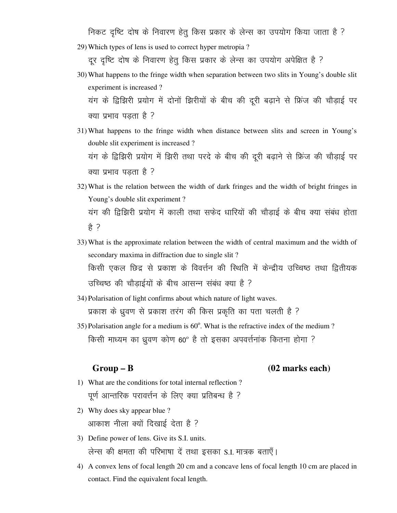निकट दृष्टि दोष के निवारण हेतू किस प्रकार के लेन्स का उपयोग किया जाता है ?

29) Which types of lens is used to correct hyper metropia ?

दूर दृष्टि दोष के निवारण हेतू किस प्रकार के लेन्स का उपयोग अपेक्षित है ?

30) What happens to the fringe width when separation between two slits in Young's double slit experiment is increased ?

यंग के द्विझिरी प्रयोग में दोनों झिरीयों के बीच की दूरी बढ़ाने से फ्रिंज की चौड़ाई पर क्या प्रभाव पडता है ?

31) What happens to the fringe width when distance between slits and screen in Young's double slit experiment is increased ? यंग के द्विझिरी प्रयोग में झिरी तथा परदे के बीच की दूरी बढ़ाने से फ्रिंज की चौड़ाई पर

क्या प्रभाव पडता है ?

- 32) What is the relation between the width of dark fringes and the width of bright fringes in Young's double slit experiment ? यंग की द्विझिरी प्रयोग में काली तथा सफेद धारियों की चौडाई के बीच क्या संबंध होता हे ?
- 33) What is the approximate relation between the width of central maximum and the width of secondary maxima in diffraction due to single slit ? किसी एकल छिद्र से प्रकाश के विवर्त्तन की स्थिति में केन्द्रीय उच्चिष्ठ तथा द्वितीयक उच्चिष्ठ की चौडाईयों के बीच आसन्न संबंध क्या है ?
- 34) Polarisation of light confirms about which nature of light waves. प्रकाश के ध्रुवण से प्रकाश तरंग की किस प्रकृति का पता चलती है ?
- 35) Polarisation angle for a medium is  $60^\circ$ . What is the refractive index of the medium ? किसी माध्यम का ध्रुवण कोण 60º है तो इसका अपवर्त्तनांक कितना होगा ?

### Group – B (02 marks each)

- 1) What are the conditions for total internal reflection ? पूर्ण आन्तरिक परावर्त्तन के लिए क्या प्रतिबन्ध है ?
- 2) Why does sky appear blue ? आकाश नीला क्यों दिखाई देता है ?
- 3) Define power of lens. Give its S.I. units. लेन्स की क्षमता की परिभाषा दें तथा इसका S.I. मात्रक बताएँ।
- 4) A convex lens of focal length 20 cm and a concave lens of focal length 10 cm are placed in contact. Find the equivalent focal length.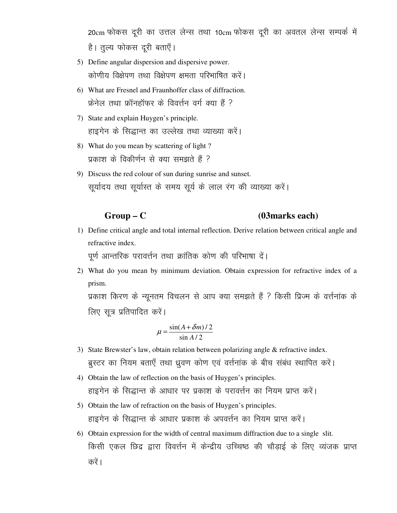20cm फोकस दूरी का उत्तल लेन्स तथा 10cm फोकस दूरी का अवतल लेन्स सम्पर्क में है। तुल्य फोकस दूरी बताएँ।

- 5) Define angular dispersion and dispersive power. कोणीय विक्षेपण तथा विक्षेपण क्षमता परिभाषित करें।
- 6) What are Fresnel and Fraunhoffer class of diffraction. फ्रेनेल तथा फ्रॉनहॉफर के विवर्त्तन वर्ग क्या हैं ?
- 7) State and explain Huygen's principle. हाइगेन के सिद्धान्त का उल्लेख तथा व्याख्या करें।
- 8) What do you mean by scattering of light? प्रकाश के विकीर्णन से क्या समझते हैं ?
- 9) Discuss the red colour of sun during sunrise and sunset. सूर्यादय तथा सूर्यास्त के समय सूर्य के लाल रंग की व्याख्या करें।

#### $Group-C$ (03 marks each)

1) Define critical angle and total internal reflection. Derive relation between critical angle and refractive index.

```
पूर्ण आन्तरिक परावर्त्तन तथा क्रांतिक कोण की परिभाषा दें।
```
2) What do you mean by minimum deviation. Obtain expression for refractive index of a prism.

प्रकाश किरण के न्यूनतम विचलन से आप क्या समझते हैं ? किसी प्रिज्म के वर्त्तनांक के लिए सूत्र प्रतिपादित करें।

$$
\mu = \frac{\sin(A + \delta m)/2}{\sin A/2}
$$

- 3) State Brewster's law, obtain relation between polarizing angle & refractive index. ब्रस्टर का नियम बताएँ तथा ध्रुवण कोण एवं वर्त्तनांक के बीच संबंध स्थापित करें।
- 4) Obtain the law of reflection on the basis of Huygen's principles. हाइगेन के सिद्धान्त के आधार पर प्रकाश के परावर्त्तन का नियम प्राप्त करें।
- 5) Obtain the law of refraction on the basis of Huygen's principles. हाइगेन के सिद्धान्त के आधार प्रकाश के अपवर्त्तन का नियम प्राप्त करें।
- 6) Obtain expression for the width of central maximum diffraction due to a single slit. किसी एकल छिद्र द्वारा विवर्त्तन में केन्द्रीय उच्चिष्ठ की चौड़ाई के लिए व्यंजक प्राप्त करें ।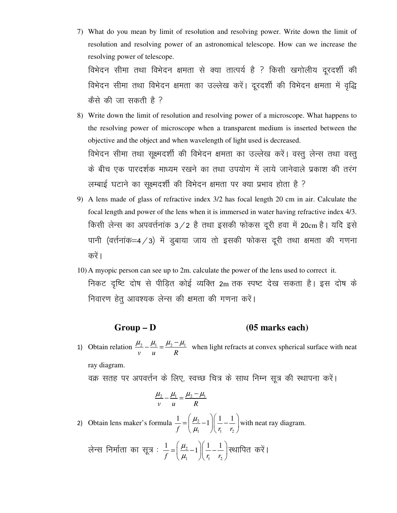7) What do you mean by limit of resolution and resolving power. Write down the limit of resolution and resolving power of an astronomical telescope. How can we increase the resolving power of telescope.

विभेदन सीमा तथा विभेदन क्षमता से क्या तात्पर्य है ? किसी खगोलीय दूरदर्शी की विभेदन सीमा तथा विभेदन क्षमता का उल्लेख करें। दूरदर्शी की विभेदन क्षमता में वृद्धि  $\phi$ केसे की जा सकती है ?

- 8) Write down the limit of resolution and resolving power of a microscope. What happens to the resolving power of microscope when a transparent medium is inserted between the objective and the object and when wavelength of light used is decreased. विभेदन सीमा तथा सूक्ष्मदर्शी की विभेदन क्षमता का उल्लेख करें। वस्तु लेन्स तथा वस्तु के बीच एक पारदर्शक माध्यम रखने का तथा उपयोग में लाये जानेवाले प्रकाश की तरंग लम्बाई घटाने का सूक्ष्मदर्शी की विभेदन क्षमता पर क्या प्रभाव होता है ?
- 9) A lens made of glass of refractive index 3/2 has focal length 20 cm in air. Calculate the focal length and power of the lens when it is immersed in water having refractive index 4/3. किसी लेन्स का अपवर्त्तनांक 3/2 है तथा इसकी फोकस दूरी हवा में 20cm है। यदि इसे पानी (वर्त्तनांक=4 / 3) में डुबाया जाय तो इसकी फोकस दूरी तथा क्षमता की गणना करें ।
- 10) A myopic person can see up to 2m. calculate the power of the lens used to correct it. निकट दृष्टि दोष से पीड़ित कोई व्यक्ति 2m तक स्पष्ट देख सकता है। इस दोष के निवारण हेतू आवश्यक लेन्स की क्षमता की गणना करें।

# **Group – D (05 marks each)**

1) Obtain relation  $\frac{\mu_2}{\mu_1} - \frac{\mu_1}{\mu_2} = \frac{\mu_2}{\mu_1}$ *v u R*  $\frac{\mu_2}{\mu_1} = \frac{\mu_2 - \mu_1}{\mu_2}$  when light refracts at convex spherical surface with neat ray diagram.

वक्र सतह पर अपवर्त्तन के लिए, स्वच्छ चित्र के साथ निम्न सूत्र की स्थापना करें।

$$
\frac{\mu_2}{v} - \frac{\mu_1}{u} = \frac{\mu_2 - \mu_1}{R}
$$

- 2) Obtain lens maker's formula  $\frac{1}{c} = \frac{\mu_2}{2}$ 1  $1/\sqrt{1}$  '2  $\frac{1}{c} = \frac{\mu_2}{1} - 1 \left( \frac{1}{1} - \frac{1}{1} \right)$  $f \cup \mu_{1} \cup \mu_{1}$  *r*  $\mu$  $\mu_{\scriptscriptstyle \text{I}}$  $\left(\begin{array}{cc} u_2 \end{array}\right)$   $\left(1 \begin{array}{cc} 1 \end{array}\right)$  $=\left(\frac{\mu_2}{\mu_1}-1\right)\left(\frac{1}{r_1}-\frac{1}{r_2}\right)$  with neat ray diagram.
	- लेन्स निर्माता का सूत्र :  $\frac{1}{c}$  = $\frac{\mu_2}{\mu_3}$ 1  $1/\sqrt{1}$  '2  $\frac{1}{c} = \frac{\mu_2}{1} - 1 \left( \frac{1}{1} - \frac{1}{1} \right)$  $f \cup \mu_1 \cup \mu_1$  *r*  $\mu$  $\mu_{\scriptscriptstyle \text{I}}$  $\left(\begin{array}{cc} u_{2} & \end{array}\right)\left(1 & 1\right)$  $=\left(\frac{\mu_2}{\mu_1}-1\right)\left(\frac{1}{r_1}-\frac{1}{r_2}\right)$ स्थापित करें।